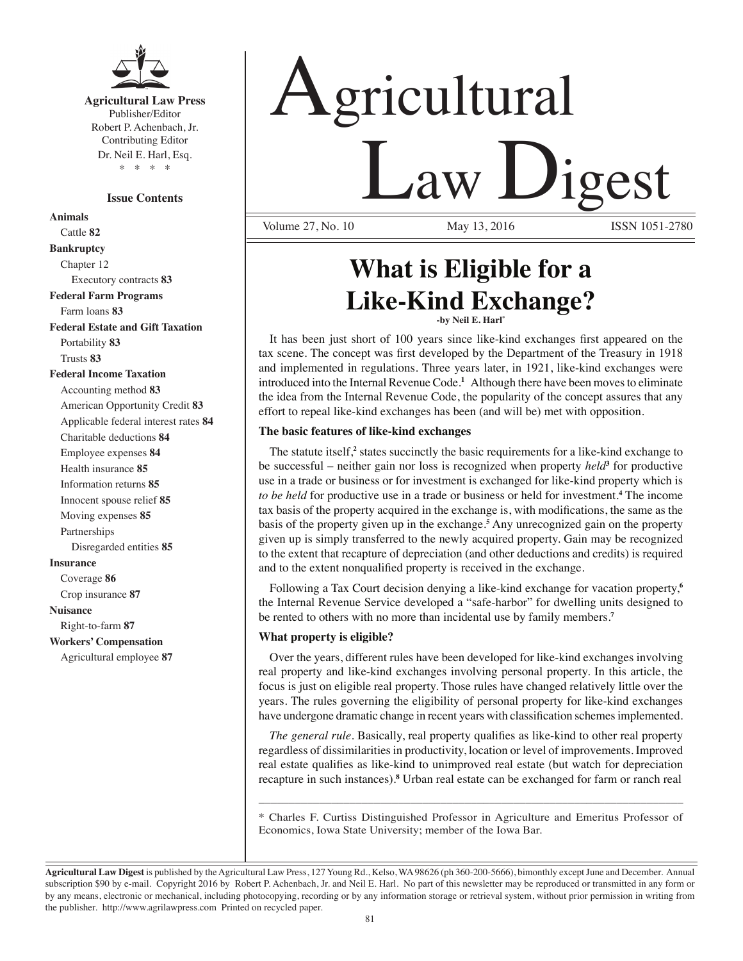

**Agricultural Law Press** Publisher/Editor Robert P. Achenbach, Jr. Contributing Editor Dr. Neil E. Harl, Esq. \* \* \* \*

#### **Issue Contents**

**Animals** Cattle **82 Bankruptcy** Chapter 12 Executory contracts **83 Federal Farm Programs** Farm loans **83 Federal Estate and Gift Taxation** Portability **83** Trusts **83 Federal Income Taxation** Accounting method **83** American Opportunity Credit **83** Applicable federal interest rates **84** Charitable deductions **84** Employee expenses **84** Health insurance **85** Information returns **85** Innocent spouse relief **85** Moving expenses **85** Partnerships Disregarded entities **85 Insurance** Coverage **86** Crop insurance **87 Nuisance** Right-to-farm **87 Workers' Compensation**

Agricultural employee **87**

# Agricultural <u>Law Digest</u> Volume 27, No. 10

## **What is Eligible for a Like-Kind Exchange? -by Neil E. Harl\***

It has been just short of 100 years since like-kind exchanges first appeared on the tax scene. The concept was first developed by the Department of the Treasury in 1918 and implemented in regulations. Three years later, in 1921, like-kind exchanges were introduced into the Internal Revenue Code.**<sup>1</sup>** Although there have been moves to eliminate the idea from the Internal Revenue Code, the popularity of the concept assures that any effort to repeal like-kind exchanges has been (and will be) met with opposition.

#### **The basic features of like-kind exchanges**

The statute itself,<sup>2</sup> states succinctly the basic requirements for a like-kind exchange to be successful – neither gain nor loss is recognized when property *held***<sup>3</sup>** for productive use in a trade or business or for investment is exchanged for like-kind property which is *to be held* for productive use in a trade or business or held for investment.**<sup>4</sup>** The income tax basis of the property acquired in the exchange is, with modifications, the same as the basis of the property given up in the exchange.**<sup>5</sup>** Any unrecognized gain on the property given up is simply transferred to the newly acquired property. Gain may be recognized to the extent that recapture of depreciation (and other deductions and credits) is required and to the extent nonqualified property is received in the exchange.

Following a Tax Court decision denying a like-kind exchange for vacation property,**<sup>6</sup>** the Internal Revenue Service developed a "safe-harbor" for dwelling units designed to be rented to others with no more than incidental use by family members.**<sup>7</sup>**

#### **What property is eligible?**

Over the years, different rules have been developed for like-kind exchanges involving real property and like-kind exchanges involving personal property. In this article, the focus is just on eligible real property. Those rules have changed relatively little over the years. The rules governing the eligibility of personal property for like-kind exchanges have undergone dramatic change in recent years with classification schemes implemented.

*The general rule.* Basically, real property qualifies as like-kind to other real property regardless of dissimilarities in productivity, location or level of improvements. Improved real estate qualifies as like-kind to unimproved real estate (but watch for depreciation recapture in such instances).**<sup>8</sup>** Urban real estate can be exchanged for farm or ranch real

\_\_\_\_\_\_\_\_\_\_\_\_\_\_\_\_\_\_\_\_\_\_\_\_\_\_\_\_\_\_\_\_\_\_\_\_\_\_\_\_\_\_\_\_\_\_\_\_\_\_\_\_\_\_\_\_\_\_\_\_\_\_\_\_\_\_\_\_\_\_ \* Charles F. Curtiss Distinguished Professor in Agriculture and Emeritus Professor of Economics, Iowa State University; member of the Iowa Bar.

**Agricultural Law Digest** is published by the Agricultural Law Press, 127 Young Rd., Kelso, WA 98626 (ph 360-200-5666), bimonthly except June and December. Annual subscription \$90 by e-mail. Copyright 2016 by Robert P. Achenbach, Jr. and Neil E. Harl. No part of this newsletter may be reproduced or transmitted in any form or by any means, electronic or mechanical, including photocopying, recording or by any information storage or retrieval system, without prior permission in writing from the publisher. http://www.agrilawpress.com Printed on recycled paper.